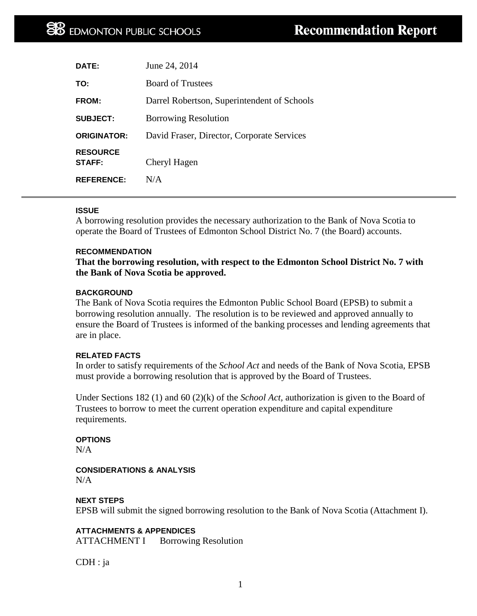| DATE:                            | June 24, 2014                               |
|----------------------------------|---------------------------------------------|
| TO:                              | <b>Board of Trustees</b>                    |
| FROM:                            | Darrel Robertson, Superintendent of Schools |
| <b>SUBJECT:</b>                  | <b>Borrowing Resolution</b>                 |
| <b>ORIGINATOR:</b>               | David Fraser, Director, Corporate Services  |
| <b>RESOURCE</b><br><b>STAFF:</b> | Cheryl Hagen                                |
| <b>REFERENCE:</b>                | N/A                                         |

### **ISSUE**

A borrowing resolution provides the necessary authorization to the Bank of Nova Scotia to operate the Board of Trustees of Edmonton School District No. 7 (the Board) accounts.

#### **RECOMMENDATION**

**That the borrowing resolution, with respect to the Edmonton School District No. 7 with the Bank of Nova Scotia be approved.**

### **BACKGROUND**

The Bank of Nova Scotia requires the Edmonton Public School Board (EPSB) to submit a borrowing resolution annually. The resolution is to be reviewed and approved annually to ensure the Board of Trustees is informed of the banking processes and lending agreements that are in place.

#### **RELATED FACTS**

In order to satisfy requirements of the *School Act* and needs of the Bank of Nova Scotia, EPSB must provide a borrowing resolution that is approved by the Board of Trustees.

Under Sections 182 (1) and 60 (2)(k) of the *School Act,* authorization is given to the Board of Trustees to borrow to meet the current operation expenditure and capital expenditure requirements.

#### **OPTIONS**

 $N/A$ 

#### **CONSIDERATIONS & ANALYSIS** N/A

## **NEXT STEPS**

EPSB will submit the signed borrowing resolution to the Bank of Nova Scotia (Attachment I).

**ATTACHMENTS & APPENDICES** ATTACHMENT I Borrowing Resolution

CDH : ja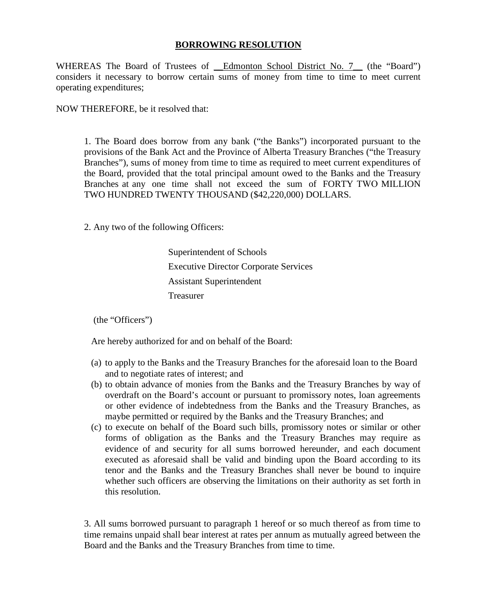# **BORROWING RESOLUTION**

WHEREAS The Board of Trustees of Edmonton School District No. 7<sub>\_{(the "Board")</sub> considers it necessary to borrow certain sums of money from time to time to meet current operating expenditures;

NOW THEREFORE, be it resolved that:

1. The Board does borrow from any bank ("the Banks") incorporated pursuant to the provisions of the Bank Act and the Province of Alberta Treasury Branches ("the Treasury Branches"), sums of money from time to time as required to meet current expenditures of the Board, provided that the total principal amount owed to the Banks and the Treasury Branches at any one time shall not exceed the sum of FORTY TWO MILLION TWO HUNDRED TWENTY THOUSAND (\$42,220,000) DOLLARS.

2. Any two of the following Officers:

Superintendent of Schools Executive Director Corporate Services Assistant Superintendent Treasurer

(the "Officers")

Are hereby authorized for and on behalf of the Board:

- (a) to apply to the Banks and the Treasury Branches for the aforesaid loan to the Board and to negotiate rates of interest; and
- (b) to obtain advance of monies from the Banks and the Treasury Branches by way of overdraft on the Board's account or pursuant to promissory notes, loan agreements or other evidence of indebtedness from the Banks and the Treasury Branches, as maybe permitted or required by the Banks and the Treasury Branches; and
- (c) to execute on behalf of the Board such bills, promissory notes or similar or other forms of obligation as the Banks and the Treasury Branches may require as evidence of and security for all sums borrowed hereunder, and each document executed as aforesaid shall be valid and binding upon the Board according to its tenor and the Banks and the Treasury Branches shall never be bound to inquire whether such officers are observing the limitations on their authority as set forth in this resolution.

3. All sums borrowed pursuant to paragraph 1 hereof or so much thereof as from time to time remains unpaid shall bear interest at rates per annum as mutually agreed between the Board and the Banks and the Treasury Branches from time to time.